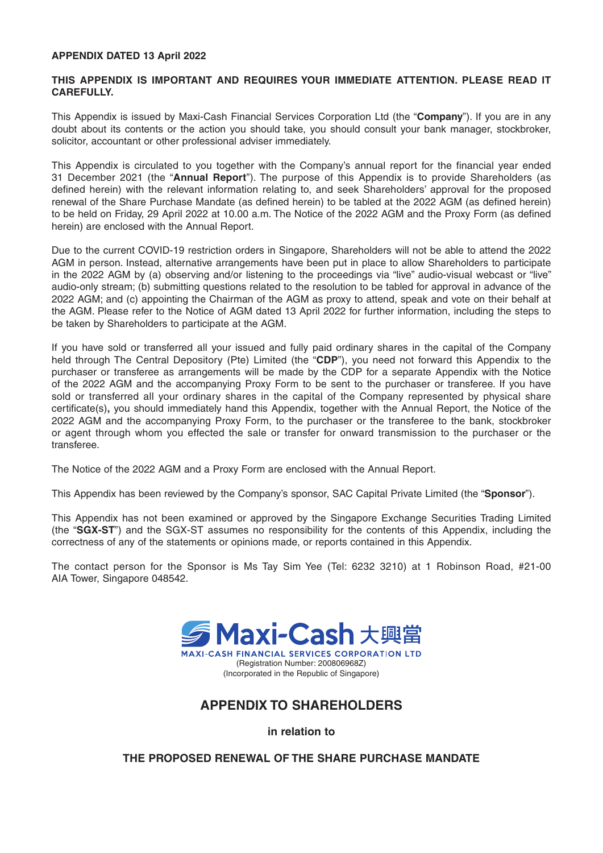### **APPENDIX DATED 13 April 2022**

### **THIS APPENDIX IS IMPORTANT AND REQUIRES YOUR IMMEDIATE ATTENTION. PLEASE READ IT CAREFULLY.**

This Appendix is issued by Maxi-Cash Financial Services Corporation Ltd (the "**Company**"). If you are in any doubt about its contents or the action you should take, you should consult your bank manager, stockbroker, solicitor, accountant or other professional adviser immediately.

This Appendix is circulated to you together with the Company's annual report for the financial year ended 31 December 2021 (the "**Annual Report**"). The purpose of this Appendix is to provide Shareholders (as defined herein) with the relevant information relating to, and seek Shareholders' approval for the proposed renewal of the Share Purchase Mandate (as defined herein) to be tabled at the 2022 AGM (as defined herein) to be held on Friday, 29 April 2022 at 10.00 a.m. The Notice of the 2022 AGM and the Proxy Form (as defined herein) are enclosed with the Annual Report.

Due to the current COVID-19 restriction orders in Singapore, Shareholders will not be able to attend the 2022 AGM in person. Instead, alternative arrangements have been put in place to allow Shareholders to participate in the 2022 AGM by (a) observing and/or listening to the proceedings via "live" audio-visual webcast or "live" audio-only stream; (b) submitting questions related to the resolution to be tabled for approval in advance of the 2022 AGM; and (c) appointing the Chairman of the AGM as proxy to attend, speak and vote on their behalf at the AGM. Please refer to the Notice of AGM dated 13 April 2022 for further information, including the steps to be taken by Shareholders to participate at the AGM.

If you have sold or transferred all your issued and fully paid ordinary shares in the capital of the Company held through The Central Depository (Pte) Limited (the "**CDP**"), you need not forward this Appendix to the purchaser or transferee as arrangements will be made by the CDP for a separate Appendix with the Notice of the 2022 AGM and the accompanying Proxy Form to be sent to the purchaser or transferee. If you have sold or transferred all your ordinary shares in the capital of the Company represented by physical share certificate(s), you should immediately hand this Appendix, together with the Annual Report, the Notice of the 2022 AGM and the accompanying Proxy Form, to the purchaser or the transferee to the bank, stockbroker or agent through whom you effected the sale or transfer for onward transmission to the purchaser or the transferee.

The Notice of the 2022 AGM and a Proxy Form are enclosed with the Annual Report.

This Appendix has been reviewed by the Company's sponsor, SAC Capital Private Limited (the "**Sponsor**").

This Appendix has not been examined or approved by the Singapore Exchange Securities Trading Limited (the "**SGX-ST**") and the SGX-ST assumes no responsibility for the contents of this Appendix, including the correctness of any of the statements or opinions made, or reports contained in this Appendix.

The contact person for the Sponsor is Ms Tay Sim Yee (Tel: 6232 3210) at 1 Robinson Road, #21-00 AIA Tower, Singapore 048542.



# **APPENDIX TO SHAREHOLDERS**

**in relation to**

**THE PROPOSED RENEWAL OF THE SHARE PURCHASE MANDATE**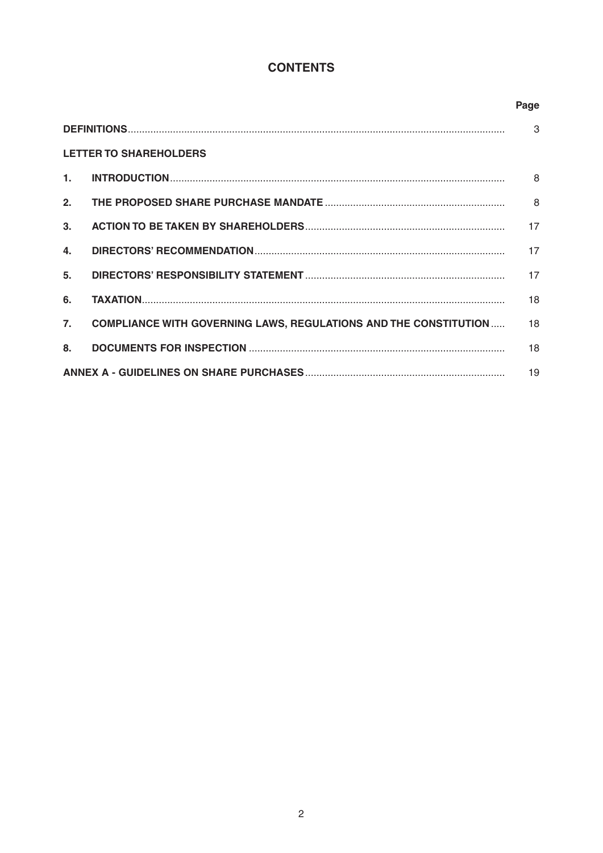# **CONTENTS**

|                  |                                                                         | Page          |  |
|------------------|-------------------------------------------------------------------------|---------------|--|
|                  |                                                                         | $\mathcal{S}$ |  |
|                  | <b>LETTER TO SHAREHOLDERS</b>                                           |               |  |
| 1.               |                                                                         | 8             |  |
| 2.               |                                                                         | 8             |  |
| 3 <sub>1</sub>   |                                                                         | 17            |  |
| 4.               |                                                                         | 17            |  |
| 5.               |                                                                         | 17            |  |
| 6.               |                                                                         | 18            |  |
| $\overline{7}$ . | <b>COMPLIANCE WITH GOVERNING LAWS, REGULATIONS AND THE CONSTITUTION</b> | 18            |  |
| 8.               |                                                                         | 18            |  |
|                  |                                                                         |               |  |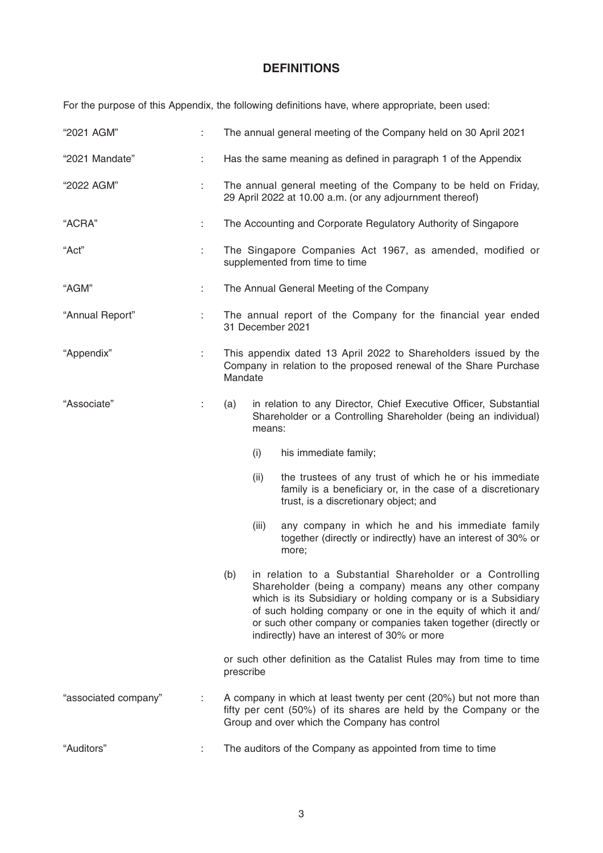# **DEFINITIONS**

For the purpose of this Appendix, the following definitions have, where appropriate, been used:

| "2021 AGM"           |    | The annual general meeting of the Company held on 30 April 2021                                                                                                                                                                                                                                                                                                              |  |  |  |  |
|----------------------|----|------------------------------------------------------------------------------------------------------------------------------------------------------------------------------------------------------------------------------------------------------------------------------------------------------------------------------------------------------------------------------|--|--|--|--|
| "2021 Mandate"       | ÷. | Has the same meaning as defined in paragraph 1 of the Appendix                                                                                                                                                                                                                                                                                                               |  |  |  |  |
| "2022 AGM"           | t. | The annual general meeting of the Company to be held on Friday,<br>29 April 2022 at 10.00 a.m. (or any adjournment thereof)                                                                                                                                                                                                                                                  |  |  |  |  |
| "ACRA"               |    | The Accounting and Corporate Regulatory Authority of Singapore                                                                                                                                                                                                                                                                                                               |  |  |  |  |
| "Act"                | t. | The Singapore Companies Act 1967, as amended, modified or<br>supplemented from time to time                                                                                                                                                                                                                                                                                  |  |  |  |  |
| "AGM"                | ÷. | The Annual General Meeting of the Company                                                                                                                                                                                                                                                                                                                                    |  |  |  |  |
| "Annual Report"      |    | The annual report of the Company for the financial year ended<br>31 December 2021                                                                                                                                                                                                                                                                                            |  |  |  |  |
| "Appendix"           | ÷. | This appendix dated 13 April 2022 to Shareholders issued by the<br>Company in relation to the proposed renewal of the Share Purchase<br>Mandate                                                                                                                                                                                                                              |  |  |  |  |
| "Associate"          | t, | in relation to any Director, Chief Executive Officer, Substantial<br>(a)<br>Shareholder or a Controlling Shareholder (being an individual)<br>means:                                                                                                                                                                                                                         |  |  |  |  |
|                      |    | (i)<br>his immediate family;                                                                                                                                                                                                                                                                                                                                                 |  |  |  |  |
|                      |    | the trustees of any trust of which he or his immediate<br>(ii)<br>family is a beneficiary or, in the case of a discretionary<br>trust, is a discretionary object; and                                                                                                                                                                                                        |  |  |  |  |
|                      |    | (iii)<br>any company in which he and his immediate family<br>together (directly or indirectly) have an interest of 30% or<br>more;                                                                                                                                                                                                                                           |  |  |  |  |
|                      |    | in relation to a Substantial Shareholder or a Controlling<br>(b)<br>Shareholder (being a company) means any other company<br>which is its Subsidiary or holding company or is a Subsidiary<br>of such holding company or one in the equity of which it and/<br>or such other company or companies taken together (directly or<br>indirectly) have an interest of 30% or more |  |  |  |  |
|                      |    | or such other definition as the Catalist Rules may from time to time<br>prescribe                                                                                                                                                                                                                                                                                            |  |  |  |  |
| "associated company" |    | A company in which at least twenty per cent (20%) but not more than<br>fifty per cent (50%) of its shares are held by the Company or the<br>Group and over which the Company has control                                                                                                                                                                                     |  |  |  |  |
| "Auditors"           |    | The auditors of the Company as appointed from time to time                                                                                                                                                                                                                                                                                                                   |  |  |  |  |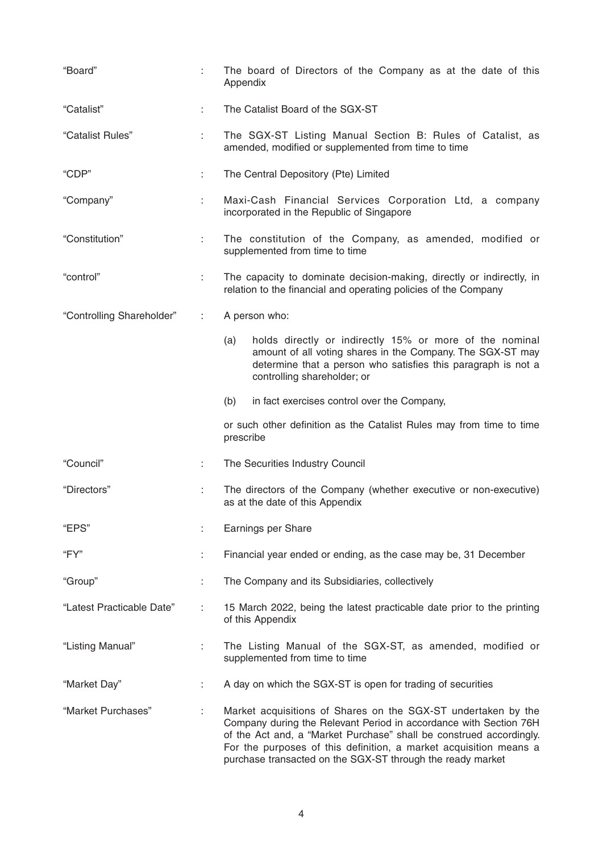| "Board"                   |    | The board of Directors of the Company as at the date of this<br>Appendix                                                                                                                                                                                                                                                                     |  |  |  |  |
|---------------------------|----|----------------------------------------------------------------------------------------------------------------------------------------------------------------------------------------------------------------------------------------------------------------------------------------------------------------------------------------------|--|--|--|--|
| "Catalist"                |    | The Catalist Board of the SGX-ST                                                                                                                                                                                                                                                                                                             |  |  |  |  |
| "Catalist Rules"          | ÷. | The SGX-ST Listing Manual Section B: Rules of Catalist, as<br>amended, modified or supplemented from time to time                                                                                                                                                                                                                            |  |  |  |  |
| "CDP"                     | ÷. | The Central Depository (Pte) Limited                                                                                                                                                                                                                                                                                                         |  |  |  |  |
| "Company"                 | ÷. | Maxi-Cash Financial Services Corporation Ltd, a company<br>incorporated in the Republic of Singapore                                                                                                                                                                                                                                         |  |  |  |  |
| "Constitution"            | ÷. | The constitution of the Company, as amended, modified or<br>supplemented from time to time                                                                                                                                                                                                                                                   |  |  |  |  |
| "control"                 | ÷. | The capacity to dominate decision-making, directly or indirectly, in<br>relation to the financial and operating policies of the Company                                                                                                                                                                                                      |  |  |  |  |
| "Controlling Shareholder" | ÷  | A person who:                                                                                                                                                                                                                                                                                                                                |  |  |  |  |
|                           |    | holds directly or indirectly 15% or more of the nominal<br>(a)<br>amount of all voting shares in the Company. The SGX-ST may<br>determine that a person who satisfies this paragraph is not a<br>controlling shareholder; or                                                                                                                 |  |  |  |  |
|                           |    | (b)<br>in fact exercises control over the Company,                                                                                                                                                                                                                                                                                           |  |  |  |  |
|                           |    | or such other definition as the Catalist Rules may from time to time<br>prescribe                                                                                                                                                                                                                                                            |  |  |  |  |
| "Council"                 | ÷  | The Securities Industry Council                                                                                                                                                                                                                                                                                                              |  |  |  |  |
| "Directors"               | ÷  | The directors of the Company (whether executive or non-executive)<br>as at the date of this Appendix                                                                                                                                                                                                                                         |  |  |  |  |
| "EPS"                     |    | Earnings per Share                                                                                                                                                                                                                                                                                                                           |  |  |  |  |
| "FY"                      |    | Financial year ended or ending, as the case may be, 31 December                                                                                                                                                                                                                                                                              |  |  |  |  |
| "Group"                   | ÷. | The Company and its Subsidiaries, collectively                                                                                                                                                                                                                                                                                               |  |  |  |  |
| "Latest Practicable Date" | ÷  | 15 March 2022, being the latest practicable date prior to the printing<br>of this Appendix                                                                                                                                                                                                                                                   |  |  |  |  |
| "Listing Manual"          |    | The Listing Manual of the SGX-ST, as amended, modified or<br>supplemented from time to time                                                                                                                                                                                                                                                  |  |  |  |  |
| "Market Day"              |    | A day on which the SGX-ST is open for trading of securities                                                                                                                                                                                                                                                                                  |  |  |  |  |
| "Market Purchases"        |    | Market acquisitions of Shares on the SGX-ST undertaken by the<br>Company during the Relevant Period in accordance with Section 76H<br>of the Act and, a "Market Purchase" shall be construed accordingly.<br>For the purposes of this definition, a market acquisition means a<br>purchase transacted on the SGX-ST through the ready market |  |  |  |  |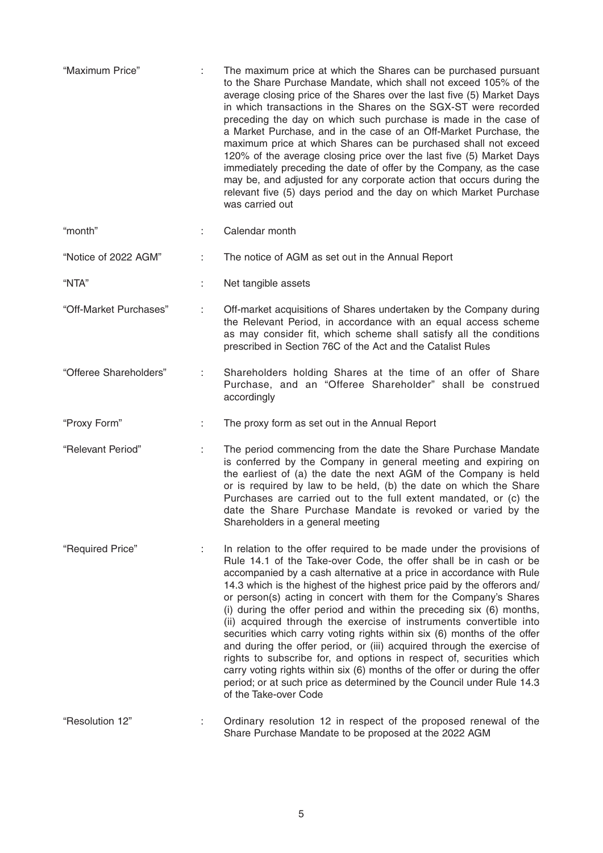| "Maximum Price"        |   | The maximum price at which the Shares can be purchased pursuant<br>to the Share Purchase Mandate, which shall not exceed 105% of the<br>average closing price of the Shares over the last five (5) Market Days<br>in which transactions in the Shares on the SGX-ST were recorded<br>preceding the day on which such purchase is made in the case of<br>a Market Purchase, and in the case of an Off-Market Purchase, the<br>maximum price at which Shares can be purchased shall not exceed<br>120% of the average closing price over the last five (5) Market Days<br>immediately preceding the date of offer by the Company, as the case<br>may be, and adjusted for any corporate action that occurs during the<br>relevant five (5) days period and the day on which Market Purchase<br>was carried out                                                                                                                  |
|------------------------|---|-------------------------------------------------------------------------------------------------------------------------------------------------------------------------------------------------------------------------------------------------------------------------------------------------------------------------------------------------------------------------------------------------------------------------------------------------------------------------------------------------------------------------------------------------------------------------------------------------------------------------------------------------------------------------------------------------------------------------------------------------------------------------------------------------------------------------------------------------------------------------------------------------------------------------------|
| "month"                |   | Calendar month                                                                                                                                                                                                                                                                                                                                                                                                                                                                                                                                                                                                                                                                                                                                                                                                                                                                                                                |
| "Notice of 2022 AGM"   |   | The notice of AGM as set out in the Annual Report                                                                                                                                                                                                                                                                                                                                                                                                                                                                                                                                                                                                                                                                                                                                                                                                                                                                             |
| "NTA"                  |   | Net tangible assets                                                                                                                                                                                                                                                                                                                                                                                                                                                                                                                                                                                                                                                                                                                                                                                                                                                                                                           |
| "Off-Market Purchases" | ÷ | Off-market acquisitions of Shares undertaken by the Company during<br>the Relevant Period, in accordance with an equal access scheme<br>as may consider fit, which scheme shall satisfy all the conditions<br>prescribed in Section 76C of the Act and the Catalist Rules                                                                                                                                                                                                                                                                                                                                                                                                                                                                                                                                                                                                                                                     |
| "Offeree Shareholders" |   | Shareholders holding Shares at the time of an offer of Share<br>Purchase, and an "Offeree Shareholder" shall be construed<br>accordingly                                                                                                                                                                                                                                                                                                                                                                                                                                                                                                                                                                                                                                                                                                                                                                                      |
| "Proxy Form"           | ÷ | The proxy form as set out in the Annual Report                                                                                                                                                                                                                                                                                                                                                                                                                                                                                                                                                                                                                                                                                                                                                                                                                                                                                |
| "Relevant Period"      |   | The period commencing from the date the Share Purchase Mandate<br>is conferred by the Company in general meeting and expiring on<br>the earliest of (a) the date the next AGM of the Company is held<br>or is required by law to be held, (b) the date on which the Share<br>Purchases are carried out to the full extent mandated, or (c) the<br>date the Share Purchase Mandate is revoked or varied by the<br>Shareholders in a general meeting                                                                                                                                                                                                                                                                                                                                                                                                                                                                            |
| "Required Price"       |   | In relation to the offer required to be made under the provisions of<br>Rule 14.1 of the Take-over Code, the offer shall be in cash or be<br>accompanied by a cash alternative at a price in accordance with Rule<br>14.3 which is the highest of the highest price paid by the offerors and/<br>or person(s) acting in concert with them for the Company's Shares<br>(i) during the offer period and within the preceding six (6) months,<br>(ii) acquired through the exercise of instruments convertible into<br>securities which carry voting rights within six (6) months of the offer<br>and during the offer period, or (iii) acquired through the exercise of<br>rights to subscribe for, and options in respect of, securities which<br>carry voting rights within six (6) months of the offer or during the offer<br>period; or at such price as determined by the Council under Rule 14.3<br>of the Take-over Code |
| "Resolution 12"        |   | Ordinary resolution 12 in respect of the proposed renewal of the<br>Share Purchase Mandate to be proposed at the 2022 AGM                                                                                                                                                                                                                                                                                                                                                                                                                                                                                                                                                                                                                                                                                                                                                                                                     |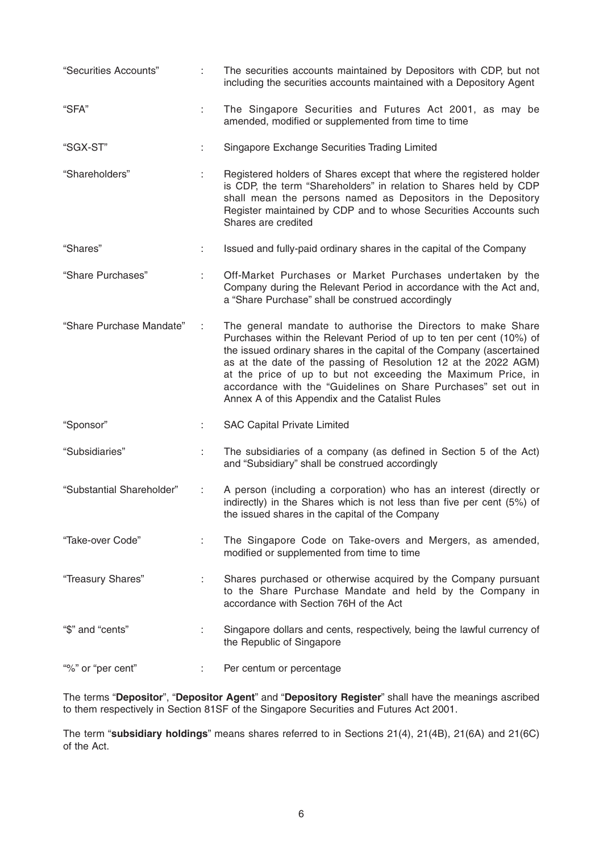| "Securities Accounts"     | ÷. | The securities accounts maintained by Depositors with CDP, but not<br>including the securities accounts maintained with a Depository Agent                                                                                                                                                                                                                                                                                                                            |  |  |  |  |
|---------------------------|----|-----------------------------------------------------------------------------------------------------------------------------------------------------------------------------------------------------------------------------------------------------------------------------------------------------------------------------------------------------------------------------------------------------------------------------------------------------------------------|--|--|--|--|
| "SFA"                     | ÷. | The Singapore Securities and Futures Act 2001, as may be<br>amended, modified or supplemented from time to time                                                                                                                                                                                                                                                                                                                                                       |  |  |  |  |
| "SGX-ST"                  | ÷  | Singapore Exchange Securities Trading Limited                                                                                                                                                                                                                                                                                                                                                                                                                         |  |  |  |  |
| "Shareholders"            | ÷  | Registered holders of Shares except that where the registered holder<br>is CDP, the term "Shareholders" in relation to Shares held by CDP<br>shall mean the persons named as Depositors in the Depository<br>Register maintained by CDP and to whose Securities Accounts such<br>Shares are credited                                                                                                                                                                  |  |  |  |  |
| "Shares"                  |    | Issued and fully-paid ordinary shares in the capital of the Company                                                                                                                                                                                                                                                                                                                                                                                                   |  |  |  |  |
| "Share Purchases"         |    | Off-Market Purchases or Market Purchases undertaken by the<br>Company during the Relevant Period in accordance with the Act and,<br>a "Share Purchase" shall be construed accordingly                                                                                                                                                                                                                                                                                 |  |  |  |  |
| "Share Purchase Mandate"  | ÷  | The general mandate to authorise the Directors to make Share<br>Purchases within the Relevant Period of up to ten per cent (10%) of<br>the issued ordinary shares in the capital of the Company (ascertained<br>as at the date of the passing of Resolution 12 at the 2022 AGM)<br>at the price of up to but not exceeding the Maximum Price, in<br>accordance with the "Guidelines on Share Purchases" set out in<br>Annex A of this Appendix and the Catalist Rules |  |  |  |  |
| "Sponsor"                 |    | <b>SAC Capital Private Limited</b>                                                                                                                                                                                                                                                                                                                                                                                                                                    |  |  |  |  |
| "Subsidiaries"            | ÷. | The subsidiaries of a company (as defined in Section 5 of the Act)<br>and "Subsidiary" shall be construed accordingly                                                                                                                                                                                                                                                                                                                                                 |  |  |  |  |
| "Substantial Shareholder" |    | A person (including a corporation) who has an interest (directly or<br>indirectly) in the Shares which is not less than five per cent (5%) of<br>the issued shares in the capital of the Company                                                                                                                                                                                                                                                                      |  |  |  |  |
| "Take-over Code"          |    | The Singapore Code on Take-overs and Mergers, as amended,<br>modified or supplemented from time to time                                                                                                                                                                                                                                                                                                                                                               |  |  |  |  |
| "Treasury Shares"         |    | Shares purchased or otherwise acquired by the Company pursuant<br>to the Share Purchase Mandate and held by the Company in<br>accordance with Section 76H of the Act                                                                                                                                                                                                                                                                                                  |  |  |  |  |
| "\$" and "cents"          | ÷  | Singapore dollars and cents, respectively, being the lawful currency of<br>the Republic of Singapore                                                                                                                                                                                                                                                                                                                                                                  |  |  |  |  |
| "%" or "per cent"         |    | Per centum or percentage                                                                                                                                                                                                                                                                                                                                                                                                                                              |  |  |  |  |

The terms "**Depositor**", "**Depositor Agent**" and "**Depository Register**" shall have the meanings ascribed to them respectively in Section 81SF of the Singapore Securities and Futures Act 2001.

The term "**subsidiary holdings**" means shares referred to in Sections 21(4), 21(4B), 21(6A) and 21(6C) of the Act.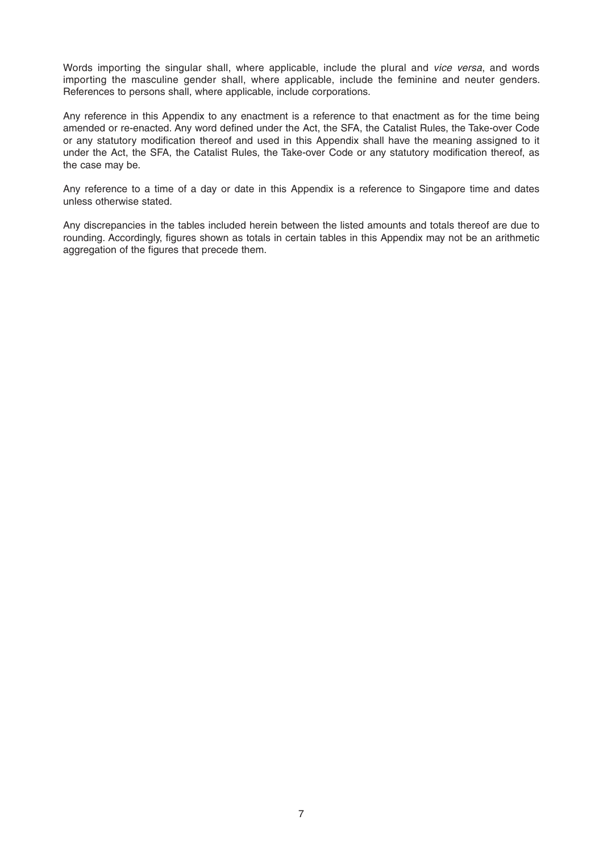Words importing the singular shall, where applicable, include the plural and *vice versa*, and words importing the masculine gender shall, where applicable, include the feminine and neuter genders. References to persons shall, where applicable, include corporations.

Any reference in this Appendix to any enactment is a reference to that enactment as for the time being amended or re-enacted. Any word defined under the Act, the SFA, the Catalist Rules, the Take-over Code or any statutory modification thereof and used in this Appendix shall have the meaning assigned to it under the Act, the SFA, the Catalist Rules, the Take-over Code or any statutory modification thereof, as the case may be.

Any reference to a time of a day or date in this Appendix is a reference to Singapore time and dates unless otherwise stated.

Any discrepancies in the tables included herein between the listed amounts and totals thereof are due to rounding. Accordingly, figures shown as totals in certain tables in this Appendix may not be an arithmetic aggregation of the figures that precede them.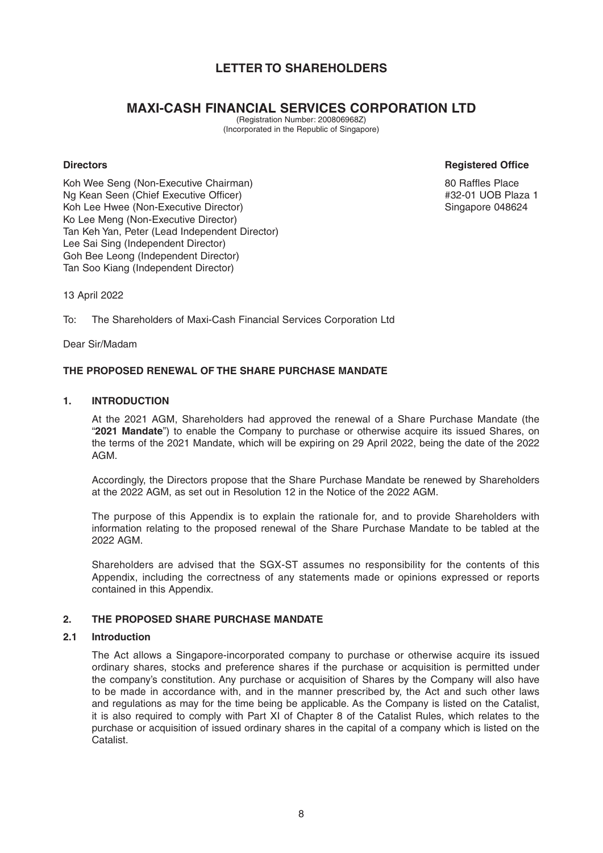# **LETTER TO SHAREHOLDERS**

# **MAXI-CASH FINANCIAL SERVICES CORPORATION LTD**

(Registration Number: 200806968Z) (Incorporated in the Republic of Singapore)

### **Directors Registered Office**

Koh Wee Seng (Non-Executive Chairman) 80 Raffles Place Ng Kean Seen (Chief Executive Officer) **Accord Accord Accord Accord Accord Accord Accord Accord Accord Accord Accord Accord Accord Accord Accord Accord Accord Accord Accord Accord Accord Accord Accord Accord Accord Accord** Koh Lee Hwee (Non-Executive Director) New York Singapore 048624 Ko Lee Meng (Non-Executive Director) Tan Keh Yan, Peter (Lead Independent Director) Lee Sai Sing (Independent Director) Goh Bee Leong (Independent Director) Tan Soo Kiang (Independent Director)

13 April 2022

To: The Shareholders of Maxi-Cash Financial Services Corporation Ltd

Dear Sir/Madam

### **THE PROPOSED RENEWAL OF THE SHARE PURCHASE MANDATE**

### **1. INTRODUCTION**

 At the 2021 AGM, Shareholders had approved the renewal of a Share Purchase Mandate (the "**2021 Mandate**") to enable the Company to purchase or otherwise acquire its issued Shares, on the terms of the 2021 Mandate, which will be expiring on 29 April 2022, being the date of the 2022 AGM.

 Accordingly, the Directors propose that the Share Purchase Mandate be renewed by Shareholders at the 2022 AGM, as set out in Resolution 12 in the Notice of the 2022 AGM.

 The purpose of this Appendix is to explain the rationale for, and to provide Shareholders with information relating to the proposed renewal of the Share Purchase Mandate to be tabled at the 2022 AGM.

 Shareholders are advised that the SGX-ST assumes no responsibility for the contents of this Appendix, including the correctness of any statements made or opinions expressed or reports contained in this Appendix.

### **2. THE PROPOSED SHARE PURCHASE MANDATE**

### **2.1 Introduction**

 The Act allows a Singapore-incorporated company to purchase or otherwise acquire its issued ordinary shares, stocks and preference shares if the purchase or acquisition is permitted under the company's constitution. Any purchase or acquisition of Shares by the Company will also have to be made in accordance with, and in the manner prescribed by, the Act and such other laws and regulations as may for the time being be applicable. As the Company is listed on the Catalist, it is also required to comply with Part XI of Chapter 8 of the Catalist Rules, which relates to the purchase or acquisition of issued ordinary shares in the capital of a company which is listed on the **Catalist**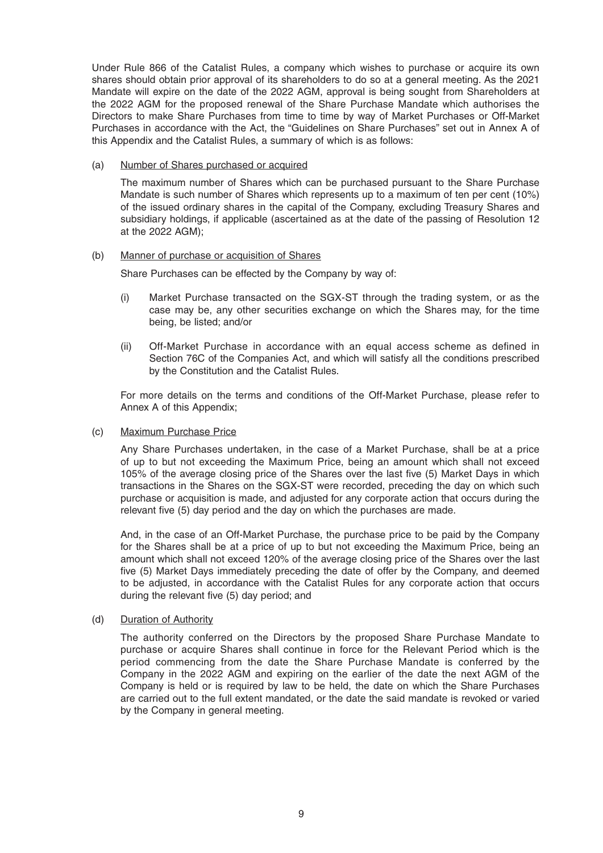Under Rule 866 of the Catalist Rules, a company which wishes to purchase or acquire its own shares should obtain prior approval of its shareholders to do so at a general meeting. As the 2021 Mandate will expire on the date of the 2022 AGM, approval is being sought from Shareholders at the 2022 AGM for the proposed renewal of the Share Purchase Mandate which authorises the Directors to make Share Purchases from time to time by way of Market Purchases or Off-Market Purchases in accordance with the Act, the "Guidelines on Share Purchases" set out in Annex A of this Appendix and the Catalist Rules, a summary of which is as follows:

(a) Number of Shares purchased or acquired

 The maximum number of Shares which can be purchased pursuant to the Share Purchase Mandate is such number of Shares which represents up to a maximum of ten per cent (10%) of the issued ordinary shares in the capital of the Company, excluding Treasury Shares and subsidiary holdings, if applicable (ascertained as at the date of the passing of Resolution 12 at the 2022 AGM);

### (b) Manner of purchase or acquisition of Shares

Share Purchases can be effected by the Company by way of:

- (i) Market Purchase transacted on the SGX-ST through the trading system, or as the case may be, any other securities exchange on which the Shares may, for the time being, be listed; and/or
- (ii) Off-Market Purchase in accordance with an equal access scheme as defined in Section 76C of the Companies Act, and which will satisfy all the conditions prescribed by the Constitution and the Catalist Rules.

 For more details on the terms and conditions of the Off-Market Purchase, please refer to Annex A of this Appendix;

### (c) Maximum Purchase Price

 Any Share Purchases undertaken, in the case of a Market Purchase, shall be at a price of up to but not exceeding the Maximum Price, being an amount which shall not exceed 105% of the average closing price of the Shares over the last five (5) Market Days in which transactions in the Shares on the SGX-ST were recorded, preceding the day on which such purchase or acquisition is made, and adjusted for any corporate action that occurs during the relevant five (5) day period and the day on which the purchases are made.

 And, in the case of an Off-Market Purchase, the purchase price to be paid by the Company for the Shares shall be at a price of up to but not exceeding the Maximum Price, being an amount which shall not exceed 120% of the average closing price of the Shares over the last five (5) Market Days immediately preceding the date of offer by the Company, and deemed to be adjusted, in accordance with the Catalist Rules for any corporate action that occurs during the relevant five (5) day period; and

(d) Duration of Authority

 The authority conferred on the Directors by the proposed Share Purchase Mandate to purchase or acquire Shares shall continue in force for the Relevant Period which is the period commencing from the date the Share Purchase Mandate is conferred by the Company in the 2022 AGM and expiring on the earlier of the date the next AGM of the Company is held or is required by law to be held, the date on which the Share Purchases are carried out to the full extent mandated, or the date the said mandate is revoked or varied by the Company in general meeting.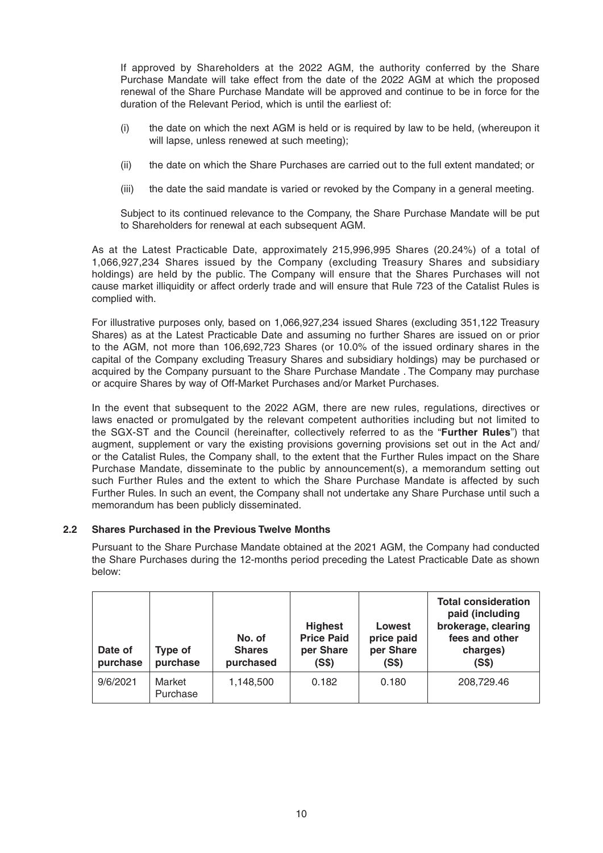If approved by Shareholders at the 2022 AGM, the authority conferred by the Share Purchase Mandate will take effect from the date of the 2022 AGM at which the proposed renewal of the Share Purchase Mandate will be approved and continue to be in force for the duration of the Relevant Period, which is until the earliest of:

- (i) the date on which the next AGM is held or is required by law to be held, (whereupon it will lapse, unless renewed at such meeting);
- (ii) the date on which the Share Purchases are carried out to the full extent mandated; or
- (iii) the date the said mandate is varied or revoked by the Company in a general meeting.

 Subject to its continued relevance to the Company, the Share Purchase Mandate will be put to Shareholders for renewal at each subsequent AGM.

 As at the Latest Practicable Date, approximately 215,996,995 Shares (20.24%) of a total of 1,066,927,234 Shares issued by the Company (excluding Treasury Shares and subsidiary holdings) are held by the public. The Company will ensure that the Shares Purchases will not cause market illiquidity or affect orderly trade and will ensure that Rule 723 of the Catalist Rules is complied with.

 For illustrative purposes only, based on 1,066,927,234 issued Shares (excluding 351,122 Treasury Shares) as at the Latest Practicable Date and assuming no further Shares are issued on or prior to the AGM, not more than 106,692,723 Shares (or 10.0% of the issued ordinary shares in the capital of the Company excluding Treasury Shares and subsidiary holdings) may be purchased or acquired by the Company pursuant to the Share Purchase Mandate . The Company may purchase or acquire Shares by way of Off-Market Purchases and/or Market Purchases.

 In the event that subsequent to the 2022 AGM, there are new rules, regulations, directives or laws enacted or promulgated by the relevant competent authorities including but not limited to the SGX-ST and the Council (hereinafter, collectively referred to as the "**Further Rules**") that augment, supplement or vary the existing provisions governing provisions set out in the Act and/ or the Catalist Rules, the Company shall, to the extent that the Further Rules impact on the Share Purchase Mandate, disseminate to the public by announcement(s), a memorandum setting out such Further Rules and the extent to which the Share Purchase Mandate is affected by such Further Rules. In such an event, the Company shall not undertake any Share Purchase until such a memorandum has been publicly disseminated.

### **2.2 Shares Purchased in the Previous Twelve Months**

 Pursuant to the Share Purchase Mandate obtained at the 2021 AGM, the Company had conducted the Share Purchases during the 12-months period preceding the Latest Practicable Date as shown below:

| Date of<br>purchase | Type of<br>purchase | No. of<br><b>Shares</b><br>purchased | <b>Highest</b><br><b>Price Paid</b><br>per Share<br>(S\$) | Lowest<br>price paid<br>per Share<br>(S\$) | <b>Total consideration</b><br>paid (including<br>brokerage, clearing<br>fees and other<br>charges)<br>(S\$) |
|---------------------|---------------------|--------------------------------------|-----------------------------------------------------------|--------------------------------------------|-------------------------------------------------------------------------------------------------------------|
| 9/6/2021            | Market<br>Purchase  | 1,148,500                            | 0.182                                                     | 0.180                                      | 208,729.46                                                                                                  |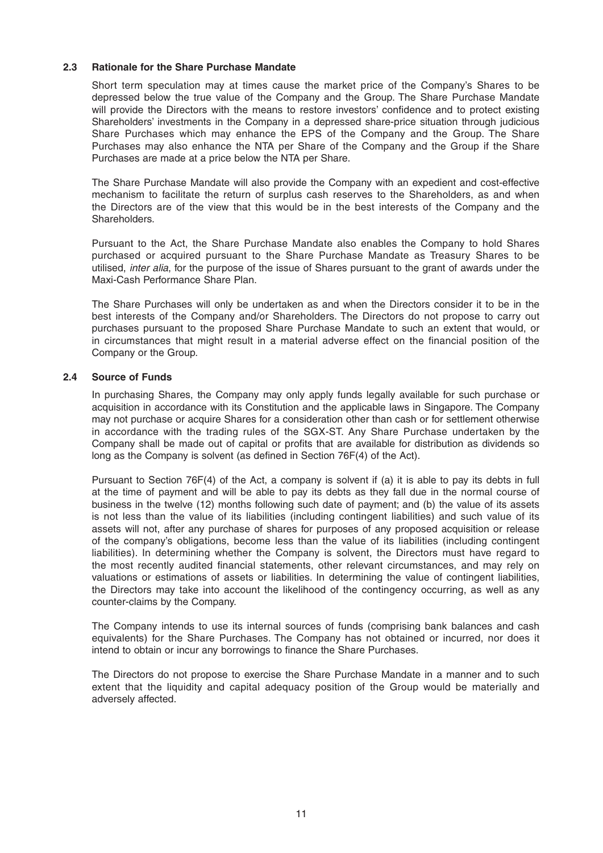### **2.3 Rationale for the Share Purchase Mandate**

 Short term speculation may at times cause the market price of the Company's Shares to be depressed below the true value of the Company and the Group. The Share Purchase Mandate will provide the Directors with the means to restore investors' confidence and to protect existing Shareholders' investments in the Company in a depressed share-price situation through judicious Share Purchases which may enhance the EPS of the Company and the Group. The Share Purchases may also enhance the NTA per Share of the Company and the Group if the Share Purchases are made at a price below the NTA per Share.

 The Share Purchase Mandate will also provide the Company with an expedient and cost-effective mechanism to facilitate the return of surplus cash reserves to the Shareholders, as and when the Directors are of the view that this would be in the best interests of the Company and the **Shareholders** 

 Pursuant to the Act, the Share Purchase Mandate also enables the Company to hold Shares purchased or acquired pursuant to the Share Purchase Mandate as Treasury Shares to be utilised, *inter alia*, for the purpose of the issue of Shares pursuant to the grant of awards under the Maxi-Cash Performance Share Plan.

 The Share Purchases will only be undertaken as and when the Directors consider it to be in the best interests of the Company and/or Shareholders. The Directors do not propose to carry out purchases pursuant to the proposed Share Purchase Mandate to such an extent that would, or in circumstances that might result in a material adverse effect on the financial position of the Company or the Group.

### **2.4 Source of Funds**

 In purchasing Shares, the Company may only apply funds legally available for such purchase or acquisition in accordance with its Constitution and the applicable laws in Singapore. The Company may not purchase or acquire Shares for a consideration other than cash or for settlement otherwise in accordance with the trading rules of the SGX-ST. Any Share Purchase undertaken by the Company shall be made out of capital or profits that are available for distribution as dividends so long as the Company is solvent (as defined in Section 76F(4) of the Act).

 Pursuant to Section 76F(4) of the Act, a company is solvent if (a) it is able to pay its debts in full at the time of payment and will be able to pay its debts as they fall due in the normal course of business in the twelve (12) months following such date of payment; and (b) the value of its assets is not less than the value of its liabilities (including contingent liabilities) and such value of its assets will not, after any purchase of shares for purposes of any proposed acquisition or release of the company's obligations, become less than the value of its liabilities (including contingent liabilities). In determining whether the Company is solvent, the Directors must have regard to the most recently audited financial statements, other relevant circumstances, and may rely on valuations or estimations of assets or liabilities. In determining the value of contingent liabilities, the Directors may take into account the likelihood of the contingency occurring, as well as any counter-claims by the Company.

 The Company intends to use its internal sources of funds (comprising bank balances and cash equivalents) for the Share Purchases. The Company has not obtained or incurred, nor does it intend to obtain or incur any borrowings to finance the Share Purchases.

 The Directors do not propose to exercise the Share Purchase Mandate in a manner and to such extent that the liquidity and capital adequacy position of the Group would be materially and adversely affected.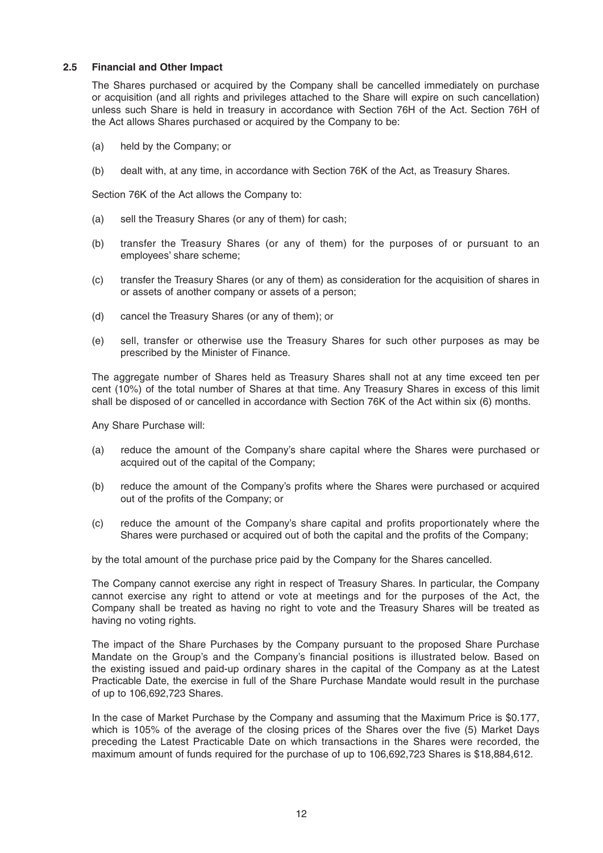### **2.5 Financial and Other Impact**

 The Shares purchased or acquired by the Company shall be cancelled immediately on purchase or acquisition (and all rights and privileges attached to the Share will expire on such cancellation) unless such Share is held in treasury in accordance with Section 76H of the Act. Section 76H of the Act allows Shares purchased or acquired by the Company to be:

- (a) held by the Company; or
- (b) dealt with, at any time, in accordance with Section 76K of the Act, as Treasury Shares.

Section 76K of the Act allows the Company to:

- (a) sell the Treasury Shares (or any of them) for cash;
- (b) transfer the Treasury Shares (or any of them) for the purposes of or pursuant to an employees' share scheme;
- (c) transfer the Treasury Shares (or any of them) as consideration for the acquisition of shares in or assets of another company or assets of a person;
- (d) cancel the Treasury Shares (or any of them); or
- (e) sell, transfer or otherwise use the Treasury Shares for such other purposes as may be prescribed by the Minister of Finance.

 The aggregate number of Shares held as Treasury Shares shall not at any time exceed ten per cent (10%) of the total number of Shares at that time. Any Treasury Shares in excess of this limit shall be disposed of or cancelled in accordance with Section 76K of the Act within six (6) months.

Any Share Purchase will:

- (a) reduce the amount of the Company's share capital where the Shares were purchased or acquired out of the capital of the Company;
- (b) reduce the amount of the Company's profits where the Shares were purchased or acquired out of the profits of the Company; or
- $\alpha$  reduce the amount of the Company's share capital and profits proportionately where the Shares were purchased or acquired out of both the capital and the profits of the Company:

by the total amount of the purchase price paid by the Company for the Shares cancelled.

 The Company cannot exercise any right in respect of Treasury Shares. In particular, the Company cannot exercise any right to attend or vote at meetings and for the purposes of the Act, the Company shall be treated as having no right to vote and the Treasury Shares will be treated as having no voting rights.

 The impact of the Share Purchases by the Company pursuant to the proposed Share Purchase Mandate on the Group's and the Company's financial positions is illustrated below. Based on the existing issued and paid-up ordinary shares in the capital of the Company as at the Latest Practicable Date, the exercise in full of the Share Purchase Mandate would result in the purchase of up to 106,692,723 Shares.

 In the case of Market Purchase by the Company and assuming that the Maximum Price is \$0.177, which is 105% of the average of the closing prices of the Shares over the five (5) Market Days preceding the Latest Practicable Date on which transactions in the Shares were recorded, the maximum amount of funds required for the purchase of up to 106,692,723 Shares is \$18,884,612.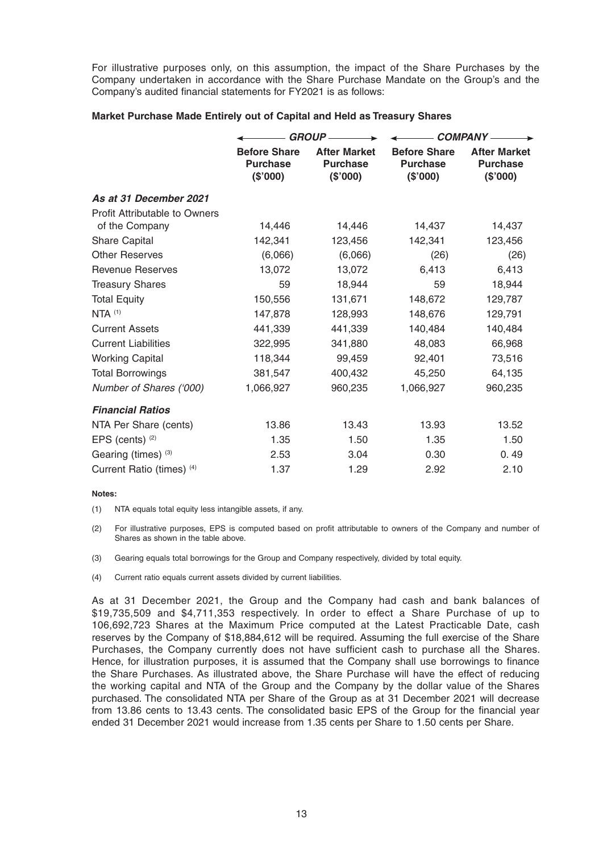For illustrative purposes only, on this assumption, the impact of the Share Purchases by the Company undertaken in accordance with the Share Purchase Mandate on the Group's and the Company's audited financial statements for FY2021 is as follows:

### **Market Purchase Made Entirely out of Capital and Held as Treasury Shares**

|                                      | <b>GROUP-</b>                                      |                                                    | <b>COMPANY-</b>                                    |                                                    |  |
|--------------------------------------|----------------------------------------------------|----------------------------------------------------|----------------------------------------------------|----------------------------------------------------|--|
|                                      | <b>Before Share</b><br><b>Purchase</b><br>(\$'000) | <b>After Market</b><br><b>Purchase</b><br>(\$'000) | <b>Before Share</b><br><b>Purchase</b><br>(\$'000) | <b>After Market</b><br><b>Purchase</b><br>(\$'000) |  |
| As at 31 December 2021               |                                                    |                                                    |                                                    |                                                    |  |
| <b>Profit Attributable to Owners</b> |                                                    |                                                    |                                                    |                                                    |  |
| of the Company                       | 14,446                                             | 14,446                                             | 14,437                                             | 14,437                                             |  |
| <b>Share Capital</b>                 | 142,341                                            | 123,456                                            | 142,341                                            | 123,456                                            |  |
| <b>Other Reserves</b>                | (6,066)                                            | (6,066)                                            | (26)                                               | (26)                                               |  |
| <b>Revenue Reserves</b>              | 13,072                                             | 13,072                                             | 6,413                                              | 6,413                                              |  |
| <b>Treasury Shares</b>               | 59                                                 | 18,944                                             | 59                                                 | 18,944                                             |  |
| <b>Total Equity</b>                  | 150,556                                            | 131,671                                            | 148,672                                            | 129,787                                            |  |
| $NTA$ $(1)$                          | 147,878                                            | 128,993                                            | 148,676                                            | 129,791                                            |  |
| <b>Current Assets</b>                | 441,339                                            | 441,339                                            | 140,484                                            | 140,484                                            |  |
| <b>Current Liabilities</b>           | 322,995                                            | 341,880                                            | 48,083                                             | 66,968                                             |  |
| <b>Working Capital</b>               | 118,344                                            | 99,459                                             | 92,401                                             | 73,516                                             |  |
| <b>Total Borrowings</b>              | 381,547                                            | 400,432                                            | 45,250                                             | 64,135                                             |  |
| Number of Shares ('000)              | 1,066,927                                          | 960,235                                            | 1,066,927                                          | 960,235                                            |  |
| <b>Financial Ratios</b>              |                                                    |                                                    |                                                    |                                                    |  |
| NTA Per Share (cents)                | 13.86                                              | 13.43                                              | 13.93                                              | 13.52                                              |  |
| EPS (cents) $(2)$                    | 1.35                                               | 1.50                                               | 1.35                                               | 1.50                                               |  |
| Gearing (times) (3)                  | 2.53                                               | 3.04                                               | 0.30                                               | 0.49                                               |  |
| Current Ratio (times) (4)            | 1.37                                               | 1.29                                               | 2.92                                               | 2.10                                               |  |

#### **Notes:**

(1) NTA equals total equity less intangible assets, if any.

- (2) For illustrative purposes, EPS is computed based on profit attributable to owners of the Company and number of Shares as shown in the table above.
- (3) Gearing equals total borrowings for the Group and Company respectively, divided by total equity.
- (4) Current ratio equals current assets divided by current liabilities.

 As at 31 December 2021, the Group and the Company had cash and bank balances of \$19,735,509 and \$4,711,353 respectively. In order to effect a Share Purchase of up to 106,692,723 Shares at the Maximum Price computed at the Latest Practicable Date, cash reserves by the Company of \$18,884,612 will be required. Assuming the full exercise of the Share Purchases, the Company currently does not have sufficient cash to purchase all the Shares. Hence, for illustration purposes, it is assumed that the Company shall use borrowings to finance the Share Purchases. As illustrated above, the Share Purchase will have the effect of reducing the working capital and NTA of the Group and the Company by the dollar value of the Shares purchased. The consolidated NTA per Share of the Group as at 31 December 2021 will decrease from 13.86 cents to 13.43 cents. The consolidated basic EPS of the Group for the financial year ended 31 December 2021 would increase from 1.35 cents per Share to 1.50 cents per Share.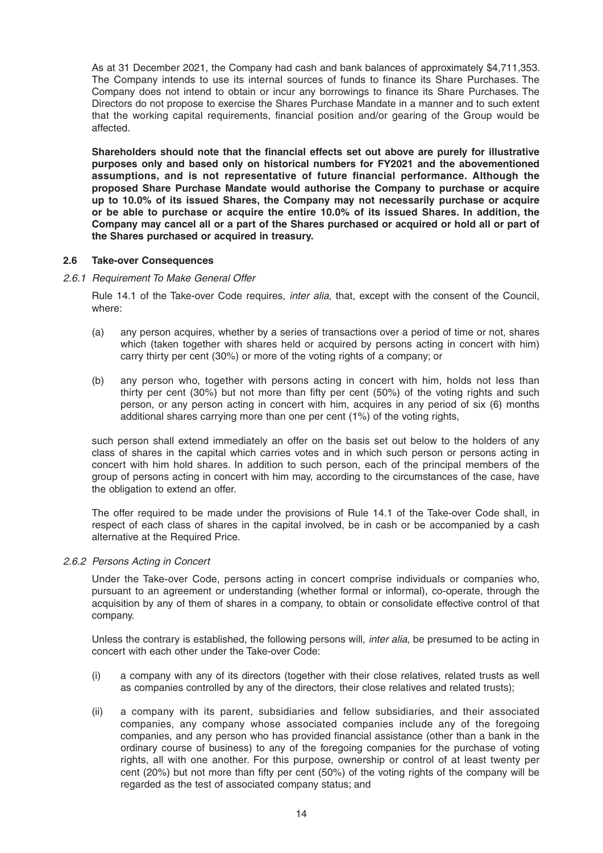As at 31 December 2021, the Company had cash and bank balances of approximately \$4,711,353. The Company intends to use its internal sources of funds to finance its Share Purchases. The Company does not intend to obtain or incur any borrowings to finance its Share Purchases. The Directors do not propose to exercise the Shares Purchase Mandate in a manner and to such extent that the working capital requirements, financial position and/or gearing of the Group would be affected.

Shareholders should note that the financial effects set out above are purely for illustrative **purposes only and based only on historical numbers for FY2021 and the abovementioned**  assumptions, and is not representative of future financial performance. Although the **proposed Share Purchase Mandate would authorise the Company to purchase or acquire up to 10.0% of its issued Shares, the Company may not necessarily purchase or acquire or be able to purchase or acquire the entire 10.0% of its issued Shares. In addition, the Company may cancel all or a part of the Shares purchased or acquired or hold all or part of the Shares purchased or acquired in treasury.**

### **2.6 Take-over Consequences**

### *2.6.1 Requirement To Make General Offer*

 Rule 14.1 of the Take-over Code requires, *inter alia*, that, except with the consent of the Council, where:

- (a) any person acquires, whether by a series of transactions over a period of time or not, shares which (taken together with shares held or acquired by persons acting in concert with him) carry thirty per cent (30%) or more of the voting rights of a company; or
- (b) any person who, together with persons acting in concert with him, holds not less than thirty per cent  $(30\%)$  but not more than fifty per cent  $(50\%)$  of the voting rights and such person, or any person acting in concert with him, acquires in any period of six (6) months additional shares carrying more than one per cent (1%) of the voting rights,

 such person shall extend immediately an offer on the basis set out below to the holders of any class of shares in the capital which carries votes and in which such person or persons acting in concert with him hold shares. In addition to such person, each of the principal members of the group of persons acting in concert with him may, according to the circumstances of the case, have the obligation to extend an offer.

 The offer required to be made under the provisions of Rule 14.1 of the Take-over Code shall, in respect of each class of shares in the capital involved, be in cash or be accompanied by a cash alternative at the Required Price.

### *2.6.2 Persons Acting in Concert*

 Under the Take-over Code, persons acting in concert comprise individuals or companies who, pursuant to an agreement or understanding (whether formal or informal), co-operate, through the acquisition by any of them of shares in a company, to obtain or consolidate effective control of that company.

 Unless the contrary is established, the following persons will, *inter alia*, be presumed to be acting in concert with each other under the Take-over Code:

- (i) a company with any of its directors (together with their close relatives, related trusts as well as companies controlled by any of the directors, their close relatives and related trusts);
- (ii) a company with its parent, subsidiaries and fellow subsidiaries, and their associated companies, any company whose associated companies include any of the foregoing companies, and any person who has provided financial assistance (other than a bank in the ordinary course of business) to any of the foregoing companies for the purchase of voting rights, all with one another. For this purpose, ownership or control of at least twenty per cent (20%) but not more than fifty per cent (50%) of the voting rights of the company will be regarded as the test of associated company status; and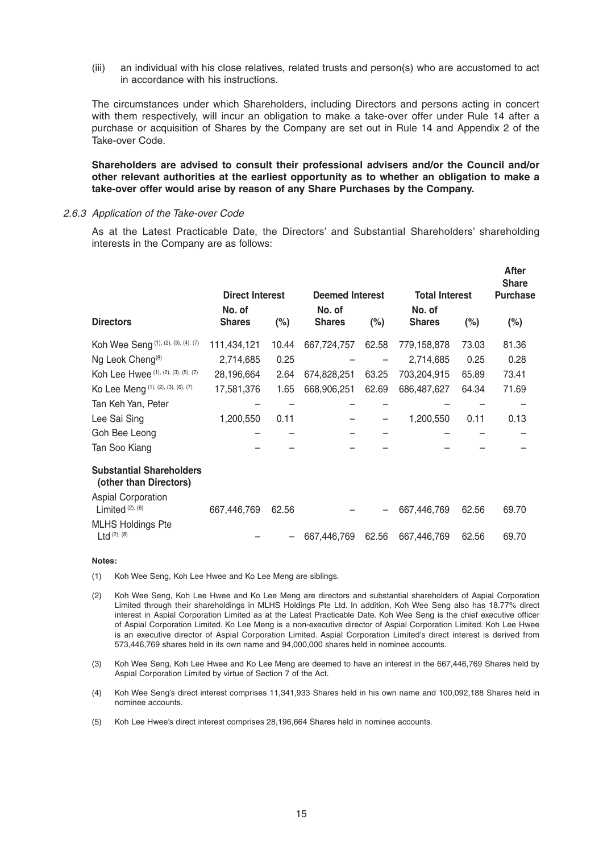(iii) an individual with his close relatives, related trusts and person(s) who are accustomed to act in accordance with his instructions.

 The circumstances under which Shareholders, including Directors and persons acting in concert with them respectively, will incur an obligation to make a take-over offer under Rule 14 after a purchase or acquisition of Shares by the Company are set out in Rule 14 and Appendix 2 of the Take-over Code.

 **Shareholders are advised to consult their professional advisers and/or the Council and/or other relevant authorities at the earliest opportunity as to whether an obligation to make a take-over offer would arise by reason of any Share Purchases by the Company.**

### *2.6.3 Application of the Take-over Code*

 As at the Latest Practicable Date, the Directors' and Substantial Shareholders' shareholding interests in the Company are as follows:

|                                                           | <b>Direct Interest</b> |        | <b>Deemed Interest</b> |         | <b>Total Interest</b> |        | After<br><b>Share</b><br><b>Purchase</b> |  |
|-----------------------------------------------------------|------------------------|--------|------------------------|---------|-----------------------|--------|------------------------------------------|--|
|                                                           | No. of                 |        | No. of                 |         | No. of                |        |                                          |  |
| <b>Directors</b>                                          | <b>Shares</b>          | $(\%)$ | <b>Shares</b>          | $(\% )$ | <b>Shares</b>         | $(\%)$ | $(\%)$                                   |  |
| Koh Wee Seng (1), (2), (3), (4), (7)                      | 111,434,121            | 10.44  | 667,724,757            | 62.58   | 779,158,878           | 73.03  | 81.36                                    |  |
| Ng Leok Cheng <sup>(8)</sup>                              | 2,714,685              | 0.25   |                        |         | 2,714,685             | 0.25   | 0.28                                     |  |
| Koh Lee Hwee (1), (2), (3), (5), (7)                      | 28,196,664             | 2.64   | 674,828,251            | 63.25   | 703,204,915           | 65.89  | 73.41                                    |  |
| Ko Lee Meng (1), (2), (3), (6), (7)                       | 17,581,376             | 1.65   | 668,906,251            | 62.69   | 686,487,627           | 64.34  | 71.69                                    |  |
| Tan Keh Yan, Peter                                        |                        |        |                        |         |                       |        |                                          |  |
| Lee Sai Sing                                              | 1,200,550              | 0.11   |                        |         | 1,200,550             | 0.11   | 0.13                                     |  |
| Goh Bee Leong                                             |                        |        |                        |         |                       |        |                                          |  |
| Tan Soo Kiang                                             |                        |        |                        |         |                       |        |                                          |  |
| <b>Substantial Shareholders</b><br>(other than Directors) |                        |        |                        |         |                       |        |                                          |  |
| Aspial Corporation<br>Limited <sup>(2), (6)</sup>         | 667,446,769            | 62.56  |                        |         | 667,446,769           | 62.56  | 69.70                                    |  |
| <b>MLHS Holdings Pte</b><br>$Ltd$ (2), (8)                |                        |        | 667,446,769            | 62.56   | 667,446,769           | 62.56  | 69.70                                    |  |

#### **Notes:**

(1) Koh Wee Seng, Koh Lee Hwee and Ko Lee Meng are siblings.

- (2) Koh Wee Seng, Koh Lee Hwee and Ko Lee Meng are directors and substantial shareholders of Aspial Corporation Limited through their shareholdings in MLHS Holdings Pte Ltd. In addition, Koh Wee Seng also has 18.77% direct interest in Aspial Corporation Limited as at the Latest Practicable Date. Koh Wee Seng is the chief executive officer of Aspial Corporation Limited. Ko Lee Meng is a non-executive director of Aspial Corporation Limited. Koh Lee Hwee is an executive director of Aspial Corporation Limited. Aspial Corporation Limited's direct interest is derived from 573,446,769 shares held in its own name and 94,000,000 shares held in nominee accounts.
- (3) Koh Wee Seng, Koh Lee Hwee and Ko Lee Meng are deemed to have an interest in the 667,446,769 Shares held by Aspial Corporation Limited by virtue of Section 7 of the Act.
- (4) Koh Wee Seng's direct interest comprises 11,341,933 Shares held in his own name and 100,092,188 Shares held in nominee accounts.
- (5) Koh Lee Hwee's direct interest comprises 28,196,664 Shares held in nominee accounts.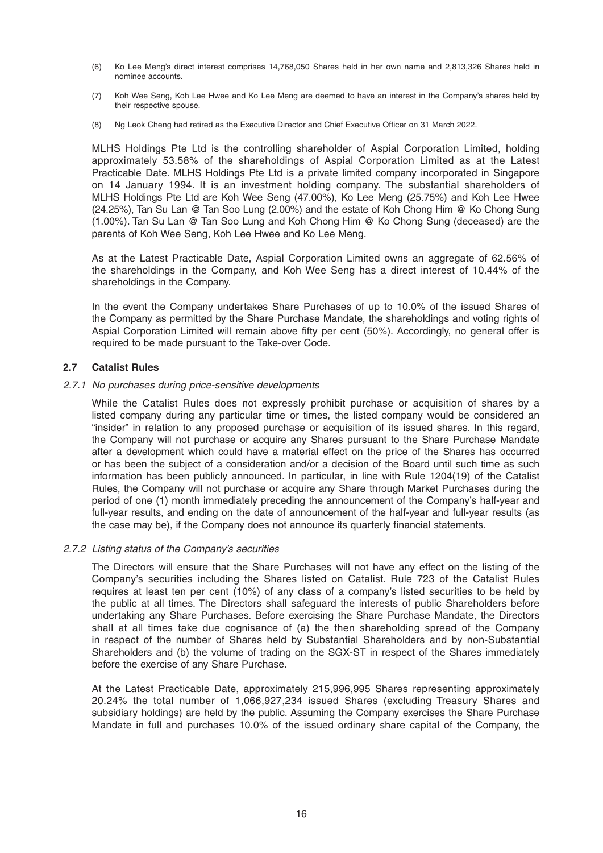- (6) Ko Lee Meng's direct interest comprises 14,768,050 Shares held in her own name and 2,813,326 Shares held in nominee accounts.
- (7) Koh Wee Seng, Koh Lee Hwee and Ko Lee Meng are deemed to have an interest in the Company's shares held by their respective spouse.
- (8) Ng Leok Cheng had retired as the Executive Director and Chief Executive Officer on 31 March 2022.

 MLHS Holdings Pte Ltd is the controlling shareholder of Aspial Corporation Limited, holding approximately 53.58% of the shareholdings of Aspial Corporation Limited as at the Latest Practicable Date. MLHS Holdings Pte Ltd is a private limited company incorporated in Singapore on 14 January 1994. It is an investment holding company. The substantial shareholders of MLHS Holdings Pte Ltd are Koh Wee Seng (47.00%), Ko Lee Meng (25.75%) and Koh Lee Hwee (24.25%), Tan Su Lan @ Tan Soo Lung (2.00%) and the estate of Koh Chong Him @ Ko Chong Sung (1.00%). Tan Su Lan @ Tan Soo Lung and Koh Chong Him @ Ko Chong Sung (deceased) are the parents of Koh Wee Seng, Koh Lee Hwee and Ko Lee Meng.

 As at the Latest Practicable Date, Aspial Corporation Limited owns an aggregate of 62.56% of the shareholdings in the Company, and Koh Wee Seng has a direct interest of 10.44% of the shareholdings in the Company.

 In the event the Company undertakes Share Purchases of up to 10.0% of the issued Shares of the Company as permitted by the Share Purchase Mandate, the shareholdings and voting rights of Aspial Corporation Limited will remain above fifty per cent (50%). Accordingly, no general offer is required to be made pursuant to the Take-over Code.

### **2.7 Catalist Rules**

### *2.7.1 No purchases during price-sensitive developments*

 While the Catalist Rules does not expressly prohibit purchase or acquisition of shares by a listed company during any particular time or times, the listed company would be considered an "insider" in relation to any proposed purchase or acquisition of its issued shares. In this regard, the Company will not purchase or acquire any Shares pursuant to the Share Purchase Mandate after a development which could have a material effect on the price of the Shares has occurred or has been the subject of a consideration and/or a decision of the Board until such time as such information has been publicly announced. In particular, in line with Rule 1204(19) of the Catalist Rules, the Company will not purchase or acquire any Share through Market Purchases during the period of one (1) month immediately preceding the announcement of the Company's half-year and full-year results, and ending on the date of announcement of the half-year and full-year results (as the case may be), if the Company does not announce its quarterly financial statements.

### *2.7.2 Listing status of the Company's securities*

 The Directors will ensure that the Share Purchases will not have any effect on the listing of the Company's securities including the Shares listed on Catalist. Rule 723 of the Catalist Rules requires at least ten per cent (10%) of any class of a company's listed securities to be held by the public at all times. The Directors shall safeguard the interests of public Shareholders before undertaking any Share Purchases. Before exercising the Share Purchase Mandate, the Directors shall at all times take due cognisance of (a) the then shareholding spread of the Company in respect of the number of Shares held by Substantial Shareholders and by non-Substantial Shareholders and (b) the volume of trading on the SGX-ST in respect of the Shares immediately before the exercise of any Share Purchase.

 At the Latest Practicable Date, approximately 215,996,995 Shares representing approximately 20.24% the total number of 1,066,927,234 issued Shares (excluding Treasury Shares and subsidiary holdings) are held by the public. Assuming the Company exercises the Share Purchase Mandate in full and purchases 10.0% of the issued ordinary share capital of the Company, the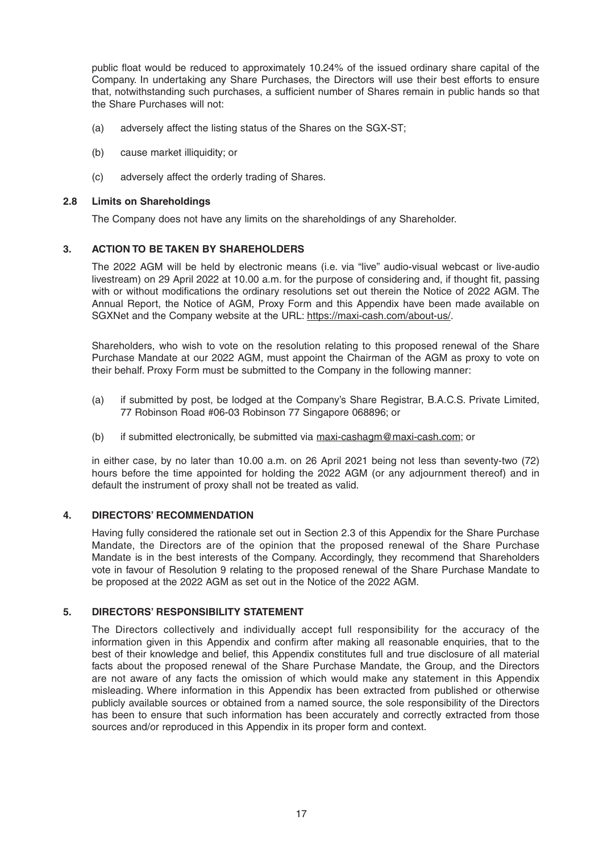public float would be reduced to approximately 10.24% of the issued ordinary share capital of the Company. In undertaking any Share Purchases, the Directors will use their best efforts to ensure that, notwithstanding such purchases, a sufficient number of Shares remain in public hands so that the Share Purchases will not:

- (a) adversely affect the listing status of the Shares on the SGX-ST;
- (b) cause market illiquidity; or
- (c) adversely affect the orderly trading of Shares.

### **2.8 Limits on Shareholdings**

The Company does not have any limits on the shareholdings of any Shareholder.

## **3. ACTION TO BE TAKEN BY SHAREHOLDERS**

 The 2022 AGM will be held by electronic means (i.e. via "live" audio-visual webcast or live-audio livestream) on 29 April 2022 at 10.00 a.m. for the purpose of considering and, if thought fit, passing with or without modifications the ordinary resolutions set out therein the Notice of 2022 AGM. The Annual Report, the Notice of AGM, Proxy Form and this Appendix have been made available on SGXNet and the Company website at the URL: https://maxi-cash.com/about-us/.

 Shareholders, who wish to vote on the resolution relating to this proposed renewal of the Share Purchase Mandate at our 2022 AGM, must appoint the Chairman of the AGM as proxy to vote on their behalf. Proxy Form must be submitted to the Company in the following manner:

- (a) if submitted by post, be lodged at the Company's Share Registrar, B.A.C.S. Private Limited, 77 Robinson Road #06-03 Robinson 77 Singapore 068896; or
- (b) if submitted electronically, be submitted via maxi-cashagm@maxi-cash.com; or

 in either case, by no later than 10.00 a.m. on 26 April 2021 being not less than seventy-two (72) hours before the time appointed for holding the 2022 AGM (or any adjournment thereof) and in default the instrument of proxy shall not be treated as valid.

### **4. DIRECTORS' RECOMMENDATION**

 Having fully considered the rationale set out in Section 2.3 of this Appendix for the Share Purchase Mandate, the Directors are of the opinion that the proposed renewal of the Share Purchase Mandate is in the best interests of the Company. Accordingly, they recommend that Shareholders vote in favour of Resolution 9 relating to the proposed renewal of the Share Purchase Mandate to be proposed at the 2022 AGM as set out in the Notice of the 2022 AGM.

### **5. DIRECTORS' RESPONSIBILITY STATEMENT**

 The Directors collectively and individually accept full responsibility for the accuracy of the information given in this Appendix and confirm after making all reasonable enquiries, that to the best of their knowledge and belief, this Appendix constitutes full and true disclosure of all material facts about the proposed renewal of the Share Purchase Mandate, the Group, and the Directors are not aware of any facts the omission of which would make any statement in this Appendix misleading. Where information in this Appendix has been extracted from published or otherwise publicly available sources or obtained from a named source, the sole responsibility of the Directors has been to ensure that such information has been accurately and correctly extracted from those sources and/or reproduced in this Appendix in its proper form and context.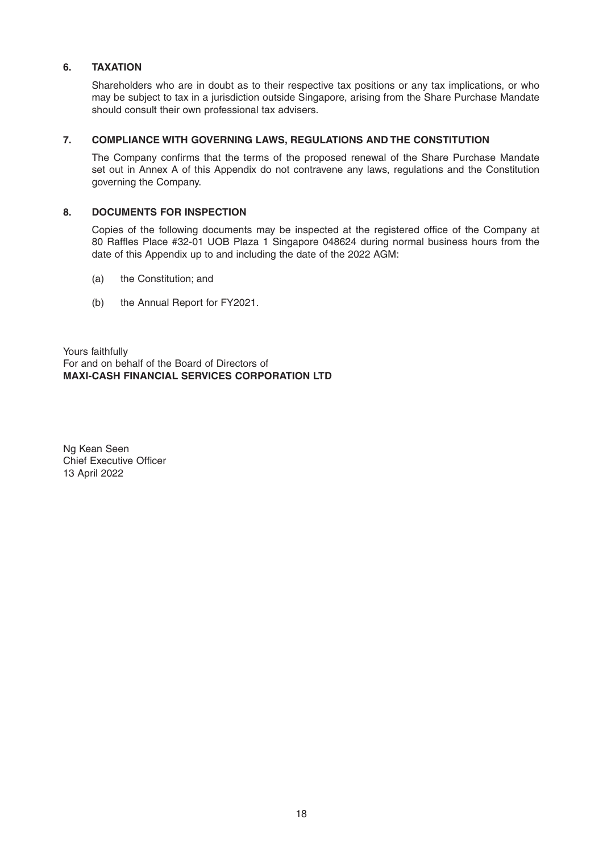## **6. TAXATION**

 Shareholders who are in doubt as to their respective tax positions or any tax implications, or who may be subject to tax in a jurisdiction outside Singapore, arising from the Share Purchase Mandate should consult their own professional tax advisers.

### **7. COMPLIANCE WITH GOVERNING LAWS, REGULATIONS AND THE CONSTITUTION**

The Company confirms that the terms of the proposed renewal of the Share Purchase Mandate set out in Annex A of this Appendix do not contravene any laws, regulations and the Constitution governing the Company.

### **8. DOCUMENTS FOR INSPECTION**

Copies of the following documents may be inspected at the registered office of the Company at 80 Raffles Place #32-01 UOB Plaza 1 Singapore 048624 during normal business hours from the date of this Appendix up to and including the date of the 2022 AGM:

- (a) the Constitution; and
- (b) the Annual Report for FY2021.

Yours faithfully For and on behalf of the Board of Directors of **MAXI-CASH FINANCIAL SERVICES CORPORATION LTD**

Ng Kean Seen Chief Executive Officer 13 April 2022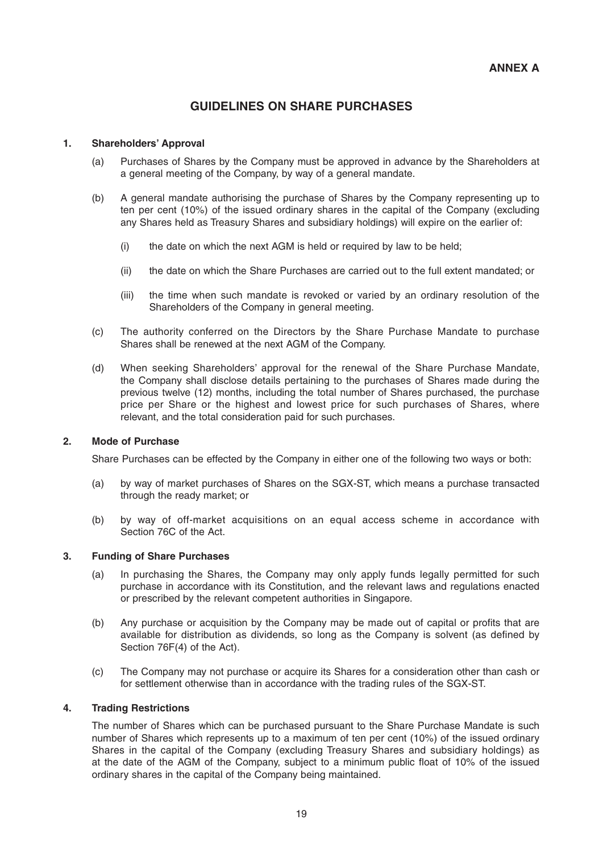# **GUIDELINES ON SHARE PURCHASES**

### **1. Shareholders' Approval**

- (a) Purchases of Shares by the Company must be approved in advance by the Shareholders at a general meeting of the Company, by way of a general mandate.
- (b) A general mandate authorising the purchase of Shares by the Company representing up to ten per cent (10%) of the issued ordinary shares in the capital of the Company (excluding any Shares held as Treasury Shares and subsidiary holdings) will expire on the earlier of:
	- (i) the date on which the next AGM is held or required by law to be held;
	- (ii) the date on which the Share Purchases are carried out to the full extent mandated; or
	- (iii) the time when such mandate is revoked or varied by an ordinary resolution of the Shareholders of the Company in general meeting.
- (c) The authority conferred on the Directors by the Share Purchase Mandate to purchase Shares shall be renewed at the next AGM of the Company.
- (d) When seeking Shareholders' approval for the renewal of the Share Purchase Mandate, the Company shall disclose details pertaining to the purchases of Shares made during the previous twelve (12) months, including the total number of Shares purchased, the purchase price per Share or the highest and lowest price for such purchases of Shares, where relevant, and the total consideration paid for such purchases.

### **2. Mode of Purchase**

Share Purchases can be effected by the Company in either one of the following two ways or both:

- (a) by way of market purchases of Shares on the SGX-ST, which means a purchase transacted through the ready market; or
- (b) by way of off-market acquisitions on an equal access scheme in accordance with Section 76C of the Act.

### **3. Funding of Share Purchases**

- (a) In purchasing the Shares, the Company may only apply funds legally permitted for such purchase in accordance with its Constitution, and the relevant laws and regulations enacted or prescribed by the relevant competent authorities in Singapore.
- (b) Any purchase or acquisition by the Company may be made out of capital or profits that are available for distribution as dividends, so long as the Company is solvent (as defined by Section 76F(4) of the Act).
- (c) The Company may not purchase or acquire its Shares for a consideration other than cash or for settlement otherwise than in accordance with the trading rules of the SGX-ST.

### **4. Trading Restrictions**

 The number of Shares which can be purchased pursuant to the Share Purchase Mandate is such number of Shares which represents up to a maximum of ten per cent (10%) of the issued ordinary Shares in the capital of the Company (excluding Treasury Shares and subsidiary holdings) as at the date of the AGM of the Company, subject to a minimum public float of  $10\%$  of the issued ordinary shares in the capital of the Company being maintained.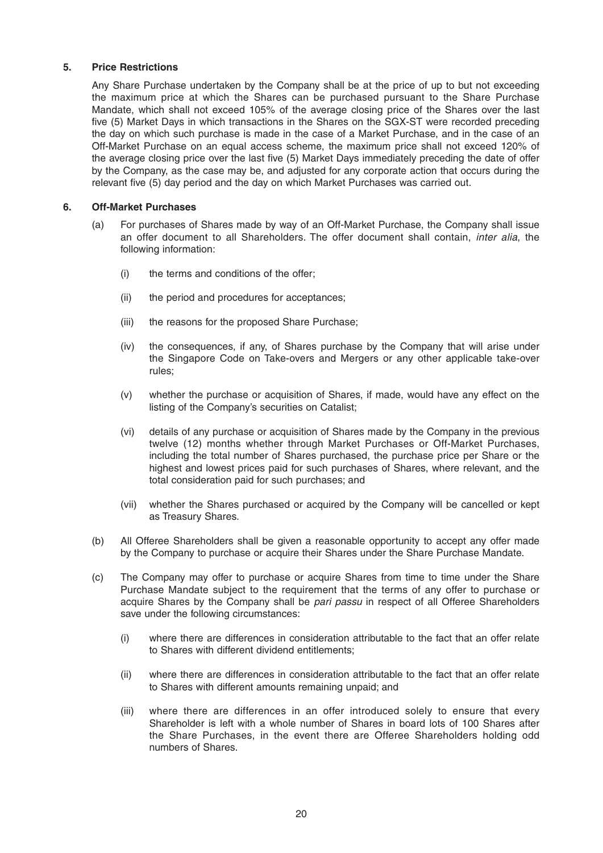### **5. Price Restrictions**

 Any Share Purchase undertaken by the Company shall be at the price of up to but not exceeding the maximum price at which the Shares can be purchased pursuant to the Share Purchase Mandate, which shall not exceed 105% of the average closing price of the Shares over the last five (5) Market Days in which transactions in the Shares on the SGX-ST were recorded preceding the day on which such purchase is made in the case of a Market Purchase, and in the case of an Off-Market Purchase on an equal access scheme, the maximum price shall not exceed 120% of the average closing price over the last five (5) Market Days immediately preceding the date of offer by the Company, as the case may be, and adjusted for any corporate action that occurs during the relevant five (5) day period and the day on which Market Purchases was carried out.

### **6. Off-Market Purchases**

- (a) For purchases of Shares made by way of an Off-Market Purchase, the Company shall issue an offer document to all Shareholders. The offer document shall contain, *inter alia*, the following information:
	- (i) the terms and conditions of the offer;
	- (ii) the period and procedures for acceptances;
	- (iii) the reasons for the proposed Share Purchase;
	- (iv) the consequences, if any, of Shares purchase by the Company that will arise under the Singapore Code on Take-overs and Mergers or any other applicable take-over rules;
	- (v) whether the purchase or acquisition of Shares, if made, would have any effect on the listing of the Company's securities on Catalist;
	- (vi) details of any purchase or acquisition of Shares made by the Company in the previous twelve (12) months whether through Market Purchases or Off-Market Purchases, including the total number of Shares purchased, the purchase price per Share or the highest and lowest prices paid for such purchases of Shares, where relevant, and the total consideration paid for such purchases; and
	- (vii) whether the Shares purchased or acquired by the Company will be cancelled or kept as Treasury Shares.
- (b) All Offeree Shareholders shall be given a reasonable opportunity to accept any offer made by the Company to purchase or acquire their Shares under the Share Purchase Mandate.
- (c) The Company may offer to purchase or acquire Shares from time to time under the Share Purchase Mandate subject to the requirement that the terms of any offer to purchase or acquire Shares by the Company shall be *pari passu* in respect of all Offeree Shareholders save under the following circumstances:
	- (i) where there are differences in consideration attributable to the fact that an offer relate to Shares with different dividend entitlements;
	- (ii) where there are differences in consideration attributable to the fact that an offer relate to Shares with different amounts remaining unpaid; and
	- (iii) where there are differences in an offer introduced solely to ensure that every Shareholder is left with a whole number of Shares in board lots of 100 Shares after the Share Purchases, in the event there are Offeree Shareholders holding odd numbers of Shares.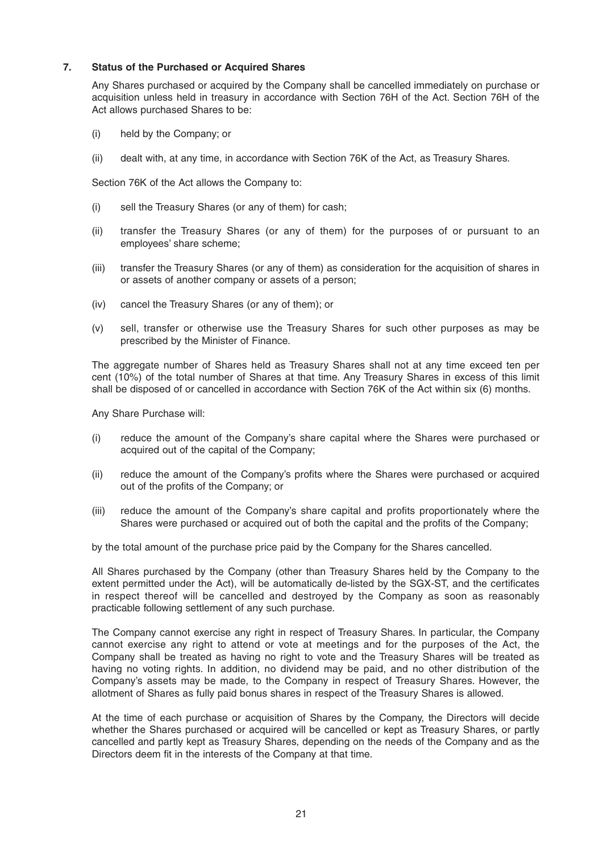### **7. Status of the Purchased or Acquired Shares**

 Any Shares purchased or acquired by the Company shall be cancelled immediately on purchase or acquisition unless held in treasury in accordance with Section 76H of the Act. Section 76H of the Act allows purchased Shares to be:

- (i) held by the Company; or
- (ii) dealt with, at any time, in accordance with Section 76K of the Act, as Treasury Shares.

Section 76K of the Act allows the Company to:

- (i) sell the Treasury Shares (or any of them) for cash;
- (ii) transfer the Treasury Shares (or any of them) for the purposes of or pursuant to an employees' share scheme;
- (iii) transfer the Treasury Shares (or any of them) as consideration for the acquisition of shares in or assets of another company or assets of a person;
- (iv) cancel the Treasury Shares (or any of them); or
- (v) sell, transfer or otherwise use the Treasury Shares for such other purposes as may be prescribed by the Minister of Finance.

 The aggregate number of Shares held as Treasury Shares shall not at any time exceed ten per cent (10%) of the total number of Shares at that time. Any Treasury Shares in excess of this limit shall be disposed of or cancelled in accordance with Section 76K of the Act within six (6) months.

Any Share Purchase will:

- (i) reduce the amount of the Company's share capital where the Shares were purchased or acquired out of the capital of the Company;
- (ii) reduce the amount of the Company's profits where the Shares were purchased or acquired out of the profits of the Company; or
- (iii) reduce the amount of the Company's share capital and profits proportionately where the Shares were purchased or acquired out of both the capital and the profits of the Company;

by the total amount of the purchase price paid by the Company for the Shares cancelled.

 All Shares purchased by the Company (other than Treasury Shares held by the Company to the extent permitted under the Act), will be automatically de-listed by the SGX-ST, and the certificates in respect thereof will be cancelled and destroyed by the Company as soon as reasonably practicable following settlement of any such purchase.

 The Company cannot exercise any right in respect of Treasury Shares. In particular, the Company cannot exercise any right to attend or vote at meetings and for the purposes of the Act, the Company shall be treated as having no right to vote and the Treasury Shares will be treated as having no voting rights. In addition, no dividend may be paid, and no other distribution of the Company's assets may be made, to the Company in respect of Treasury Shares. However, the allotment of Shares as fully paid bonus shares in respect of the Treasury Shares is allowed.

 At the time of each purchase or acquisition of Shares by the Company, the Directors will decide whether the Shares purchased or acquired will be cancelled or kept as Treasury Shares, or partly cancelled and partly kept as Treasury Shares, depending on the needs of the Company and as the Directors deem fit in the interests of the Company at that time.